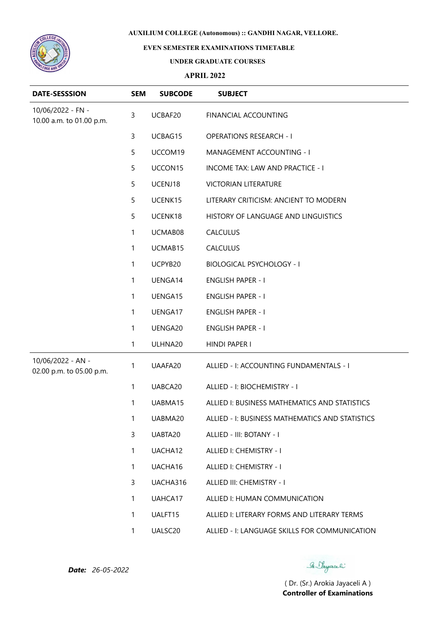

## **EVEN SEMESTER EXAMINATIONS TIMETABLE**

### **UNDER GRADUATE COURSES**

## **APRIL 2022**

| <b>DATE-SESSSION</b>                          | <b>SEM</b>   | <b>SUBCODE</b>      | <b>SUBJECT</b>                                  |
|-----------------------------------------------|--------------|---------------------|-------------------------------------------------|
| 10/06/2022 - FN -<br>10.00 a.m. to 01.00 p.m. | 3            | UCBAF20             | FINANCIAL ACCOUNTING                            |
|                                               | 3            | UCBAG15             | <b>OPERATIONS RESEARCH - I</b>                  |
|                                               | 5            | UCCOM19             | MANAGEMENT ACCOUNTING - I                       |
|                                               | 5            | UCCON15             | INCOME TAX: LAW AND PRACTICE - I                |
|                                               | 5            | UCENJ18             | <b>VICTORIAN LITERATURE</b>                     |
|                                               | 5            | UCENK15             | LITERARY CRITICISM: ANCIENT TO MODERN           |
|                                               | 5            | UCENK18             | HISTORY OF LANGUAGE AND LINGUISTICS             |
|                                               | 1            | UCMAB08             | CALCULUS                                        |
|                                               | 1            | UCMAB15             | <b>CALCULUS</b>                                 |
|                                               | 1            | UCPYB20             | <b>BIOLOGICAL PSYCHOLOGY - I</b>                |
|                                               | 1            | UENGA14             | <b>ENGLISH PAPER - I</b>                        |
|                                               | 1            | UENGA15             | <b>ENGLISH PAPER - I</b>                        |
|                                               | 1            | UENGA17             | <b>ENGLISH PAPER - I</b>                        |
|                                               | 1            | UENGA20             | <b>ENGLISH PAPER - I</b>                        |
|                                               | 1            | ULHNA20             | HINDI PAPER I                                   |
| 10/06/2022 - AN -<br>02.00 p.m. to 05.00 p.m. | 1            | UAAFA20             | ALLIED - I: ACCOUNTING FUNDAMENTALS - I         |
|                                               | 1            | UABCA20             | ALLIED - I: BIOCHEMISTRY - I                    |
|                                               | 1            | UABMA15             | ALLIED I: BUSINESS MATHEMATICS AND STATISTICS   |
|                                               | 1            | UABMA20             | ALLIED - I: BUSINESS MATHEMATICS AND STATISTICS |
|                                               | 3            | UABTA20             | ALLIED - III: BOTANY - I                        |
|                                               | $\mathbf{1}$ | UACHA12             | ALLIED I: CHEMISTRY - I                         |
|                                               | 1            | UACHA16             | ALLIED I: CHEMISTRY - I                         |
|                                               | 3            | UACHA316            | ALLIED III: CHEMISTRY - I                       |
|                                               | $\mathbf{1}$ | UAHCA17             | ALLIED I: HUMAN COMMUNICATION                   |
|                                               | 1            | UALFT15             | ALLIED I: LITERARY FORMS AND LITERARY TERMS     |
|                                               | $\mathbf{1}$ | UALSC <sub>20</sub> | ALLIED - I: LANGUAGE SKILLS FOR COMMUNICATION   |

*Date: 26-05-2022*

Se Sayaali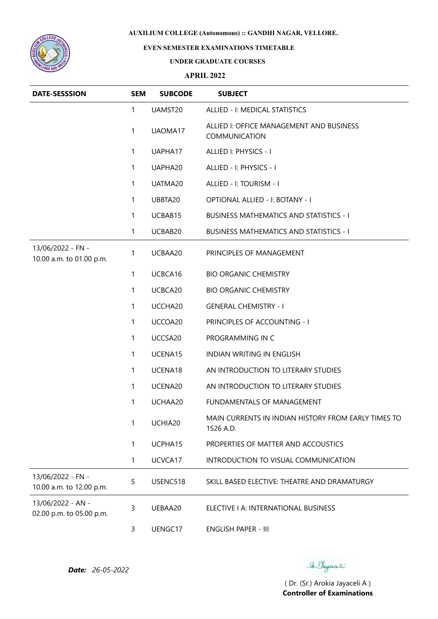

# **EVEN SEMESTER EXAMINATIONS TIMETABLE**

#### **UNDER GRADUATE COURSES**

### **APRIL 2022**

| <b>DATE-SESSSION</b>                          | <b>SEM</b>   | <b>SUBCODE</b> | <b>SUBJECT</b>                                                   |
|-----------------------------------------------|--------------|----------------|------------------------------------------------------------------|
|                                               | $\mathbf{1}$ | UAMST20        | ALLIED - I: MEDICAL STATISTICS                                   |
|                                               | $\mathbf{1}$ | UAOMA17        | ALLIED I: OFFICE MANAGEMENT AND BUSINESS<br><b>COMMUNICATION</b> |
|                                               | $\mathbf{1}$ | UAPHA17        | ALLIED I: PHYSICS - I                                            |
|                                               | $\mathbf{1}$ | UAPHA20        | ALLIED - I: PHYSICS - I                                          |
|                                               | $\mathbf{1}$ | UATMA20        | ALLIED - I: TOURISM - I                                          |
|                                               | $\mathbf{1}$ | UBBTA20        | OPTIONAL ALLIED - I: BOTANY - I                                  |
|                                               | $\mathbf{1}$ | UCBAB15        | <b>BUSINESS MATHEMATICS AND STATISTICS - I</b>                   |
|                                               | 1            | UCBAB20        | <b>BUSINESS MATHEMATICS AND STATISTICS - I</b>                   |
| 13/06/2022 - FN -<br>10.00 a.m. to 01.00 p.m. | 1            | UCBAA20        | PRINCIPLES OF MANAGEMENT                                         |
|                                               | $\mathbf{1}$ | UCBCA16        | <b>BIO ORGANIC CHEMISTRY</b>                                     |
|                                               | $\mathbf{1}$ | UCBCA20        | <b>BIO ORGANIC CHEMISTRY</b>                                     |
|                                               | $\mathbf{1}$ | UCCHA20        | <b>GENERAL CHEMISTRY - I</b>                                     |
|                                               | $\mathbf{1}$ | UCCOA20        | PRINCIPLES OF ACCOUNTING - I                                     |
|                                               | $\mathbf{1}$ | UCCSA20        | PROGRAMMING IN C                                                 |
|                                               | $\mathbf{1}$ | UCENA15        | INDIAN WRITING IN ENGLISH                                        |
|                                               | $\mathbf{1}$ | UCENA18        | AN INTRODUCTION TO LITERARY STUDIES                              |
|                                               | $\mathbf{1}$ | UCENA20        | AN INTRODUCTION TO LITERARY STUDIES                              |
|                                               | 1            | UCHAA20        | FUNDAMENTALS OF MANAGEMENT                                       |
|                                               | 1            | UCHIA20        | MAIN CURRENTS IN INDIAN HISTORY FROM EARLY TIMES TO<br>1526 A.D. |
|                                               | 1            | UCPHA15        | PROPERTIES OF MATTER AND ACCOUSTICS                              |
|                                               | $\mathbf{1}$ | UCVCA17        | INTRODUCTION TO VISUAL COMMUNICATION                             |
| 13/06/2022 - FN -<br>10.00 a.m. to 12.00 p.m. | 5            | USENC518       | SKILL BASED ELECTIVE: THEATRE AND DRAMATURGY                     |
| 13/06/2022 - AN -<br>02.00 p.m. to 05.00 p.m. | $\mathsf{3}$ | UEBAA20        | ELECTIVE I A: INTERNATIONAL BUSINESS                             |
|                                               | 3            | UENGC17        | ENGLISH PAPER - III                                              |

*Date: 26-05-2022*

Se Sayaali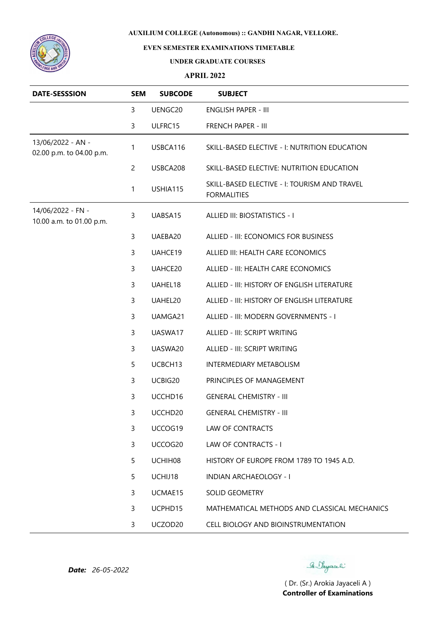

## **EVEN SEMESTER EXAMINATIONS TIMETABLE**

### **UNDER GRADUATE COURSES**

### **APRIL 2022**

| <b>DATE-SESSSION</b>                          | <b>SEM</b>     | <b>SUBCODE</b>      | <b>SUBJECT</b>                                                     |
|-----------------------------------------------|----------------|---------------------|--------------------------------------------------------------------|
|                                               | 3              | UENGC20             | <b>ENGLISH PAPER - III</b>                                         |
|                                               | 3              | ULFRC15             | FRENCH PAPER - III                                                 |
| 13/06/2022 - AN -<br>02.00 p.m. to 04.00 p.m. | 1              | USBCA116            | SKILL-BASED ELECTIVE - I: NUTRITION EDUCATION                      |
|                                               | $\overline{c}$ | USBCA208            | SKILL-BASED ELECTIVE: NUTRITION EDUCATION                          |
|                                               | 1              | USHIA115            | SKILL-BASED ELECTIVE - I: TOURISM AND TRAVEL<br><b>FORMALITIES</b> |
| 14/06/2022 - FN -<br>10.00 a.m. to 01.00 p.m. | 3              | UABSA15             | ALLIED III: BIOSTATISTICS - I                                      |
|                                               | 3              | UAEBA20             | ALLIED - III: ECONOMICS FOR BUSINESS                               |
|                                               | 3              | UAHCE19             | ALLIED III: HEALTH CARE ECONOMICS                                  |
|                                               | 3              | UAHCE20             | ALLIED - III: HEALTH CARE ECONOMICS                                |
|                                               | 3              | UAHEL18             | ALLIED - III: HISTORY OF ENGLISH LITERATURE                        |
|                                               | 3              | UAHEL20             | ALLIED - III: HISTORY OF ENGLISH LITERATURE                        |
|                                               | 3              | UAMGA21             | ALLIED - III: MODERN GOVERNMENTS - I                               |
|                                               | 3              | UASWA17             | ALLIED - III: SCRIPT WRITING                                       |
|                                               | 3              | UASWA20             | ALLIED - III: SCRIPT WRITING                                       |
|                                               | 5              | UCBCH13             | <b>INTERMEDIARY METABOLISM</b>                                     |
|                                               | 3              | UCBIG20             | PRINCIPLES OF MANAGEMENT                                           |
|                                               | 3              | UCCHD16             | <b>GENERAL CHEMISTRY - III</b>                                     |
|                                               | 3              | UCCHD <sub>20</sub> | GENERAL CHEMISTRY - III                                            |
|                                               | 3              | UCCOG19             | LAW OF CONTRACTS                                                   |
|                                               | 3              | UCCOG20             | LAW OF CONTRACTS - I                                               |
|                                               | 5              | UCHIH08             | HISTORY OF EUROPE FROM 1789 TO 1945 A.D.                           |
|                                               | 5              | UCHIJ18             | INDIAN ARCHAEOLOGY - I                                             |
|                                               | 3              | UCMAE15             | <b>SOLID GEOMETRY</b>                                              |
|                                               | 3              | UCPHD15             | MATHEMATICAL METHODS AND CLASSICAL MECHANICS                       |
|                                               | 3              | UCZOD20             | CELL BIOLOGY AND BIOINSTRUMENTATION                                |

Se Sayaali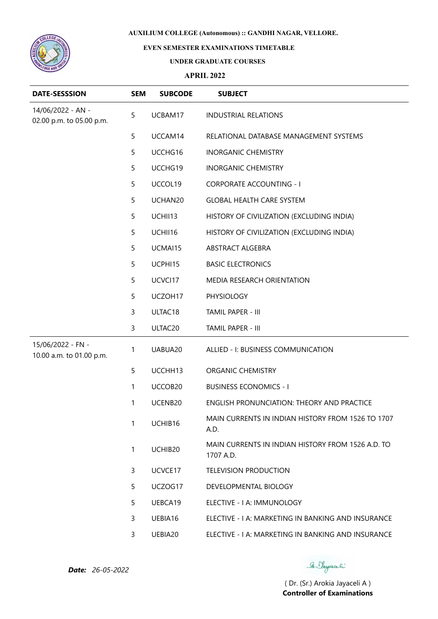

## **EVEN SEMESTER EXAMINATIONS TIMETABLE**

### **UNDER GRADUATE COURSES**

### **APRIL 2022**

| <b>DATE-SESSSION</b>                          | <b>SEM</b>   | <b>SUBCODE</b> | <b>SUBJECT</b>                                                 |
|-----------------------------------------------|--------------|----------------|----------------------------------------------------------------|
| 14/06/2022 - AN -<br>02.00 p.m. to 05.00 p.m. | 5            | UCBAM17        | <b>INDUSTRIAL RELATIONS</b>                                    |
|                                               | 5            | UCCAM14        | RELATIONAL DATABASE MANAGEMENT SYSTEMS                         |
|                                               | 5            | UCCHG16        | <b>INORGANIC CHEMISTRY</b>                                     |
|                                               | 5            | UCCHG19        | <b>INORGANIC CHEMISTRY</b>                                     |
|                                               | 5            | UCCOL19        | <b>CORPORATE ACCOUNTING - I</b>                                |
|                                               | 5            | UCHAN20        | <b>GLOBAL HEALTH CARE SYSTEM</b>                               |
|                                               | 5            | UCHII13        | HISTORY OF CIVILIZATION (EXCLUDING INDIA)                      |
|                                               | 5            | UCHII16        | HISTORY OF CIVILIZATION (EXCLUDING INDIA)                      |
|                                               | 5            | UCMAI15        | ABSTRACT ALGEBRA                                               |
|                                               | 5            | UCPHI15        | <b>BASIC ELECTRONICS</b>                                       |
|                                               | 5            | UCVCI17        | MEDIA RESEARCH ORIENTATION                                     |
|                                               | 5            | UCZOH17        | PHYSIOLOGY                                                     |
|                                               | 3            | ULTAC18        | TAMIL PAPER - III                                              |
|                                               | 3            | ULTAC20        | TAMIL PAPER - III                                              |
| 15/06/2022 - FN -<br>10.00 a.m. to 01.00 p.m. | $\mathbf{1}$ | UABUA20        | ALLIED - I: BUSINESS COMMUNICATION                             |
|                                               | 5            | UCCHH13        | ORGANIC CHEMISTRY                                              |
|                                               | 1            | UCCOB20        | <b>BUSINESS ECONOMICS - I</b>                                  |
|                                               | 1            | UCENB20        | <b>ENGLISH PRONUNCIATION: THEORY AND PRACTICE</b>              |
|                                               | 1            | UCHIB16        | MAIN CURRENTS IN INDIAN HISTORY FROM 1526 TO 1707<br>A.D.      |
|                                               | $\mathbf{1}$ | UCHIB20        | MAIN CURRENTS IN INDIAN HISTORY FROM 1526 A.D. TO<br>1707 A.D. |
|                                               | 3            | UCVCE17        | <b>TELEVISION PRODUCTION</b>                                   |
|                                               | 5            | UCZOG17        | DEVELOPMENTAL BIOLOGY                                          |
|                                               | 5            | UEBCA19        | ELECTIVE - I A: IMMUNOLOGY                                     |
|                                               | 3            | UEBIA16        | ELECTIVE - I A: MARKETING IN BANKING AND INSURANCE             |
|                                               | 3            | UEBIA20        | ELECTIVE - I A: MARKETING IN BANKING AND INSURANCE             |

Se Sayaali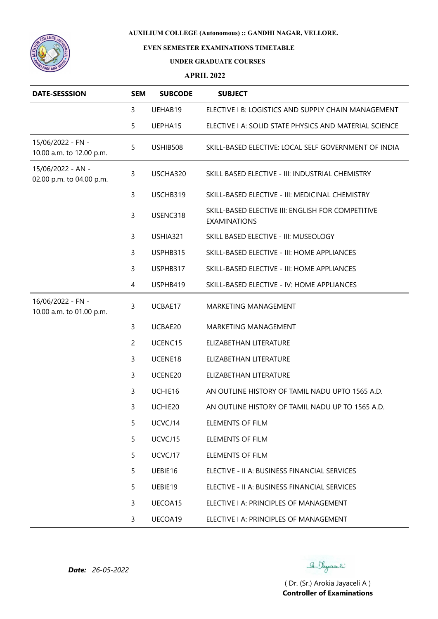

# **EVEN SEMESTER EXAMINATIONS TIMETABLE**

### **UNDER GRADUATE COURSES**

### **APRIL 2022**

| <b>DATE-SESSSION</b>                          | <b>SEM</b>     | <b>SUBCODE</b> | <b>SUBJECT</b>                                                           |
|-----------------------------------------------|----------------|----------------|--------------------------------------------------------------------------|
|                                               | 3              | UEHAB19        | ELECTIVE I B: LOGISTICS AND SUPPLY CHAIN MANAGEMENT                      |
|                                               | 5              | UEPHA15        | ELECTIVE I A: SOLID STATE PHYSICS AND MATERIAL SCIENCE                   |
| 15/06/2022 - FN -<br>10.00 a.m. to 12.00 p.m. | 5              | USHIB508       | SKILL-BASED ELECTIVE: LOCAL SELF GOVERNMENT OF INDIA                     |
| 15/06/2022 - AN -<br>02.00 p.m. to 04.00 p.m. | 3              | USCHA320       | SKILL BASED ELECTIVE - III: INDUSTRIAL CHEMISTRY                         |
|                                               | 3              | USCHB319       | SKILL-BASED ELECTIVE - III: MEDICINAL CHEMISTRY                          |
|                                               | 3              | USENC318       | SKILL-BASED ELECTIVE III: ENGLISH FOR COMPETITIVE<br><b>EXAMINATIONS</b> |
|                                               | 3              | USHIA321       | SKILL BASED ELECTIVE - III: MUSEOLOGY                                    |
|                                               | 3              | USPHB315       | SKILL-BASED ELECTIVE - III: HOME APPLIANCES                              |
|                                               | 3              | USPHB317       | SKILL-BASED ELECTIVE - III: HOME APPLIANCES                              |
|                                               | $\overline{4}$ | USPHB419       | SKILL-BASED ELECTIVE - IV: HOME APPLIANCES                               |
| 16/06/2022 - FN -<br>10.00 a.m. to 01.00 p.m. | 3              | UCBAE17        | MARKETING MANAGEMENT                                                     |
|                                               | 3              | UCBAE20        | MARKETING MANAGEMENT                                                     |
|                                               | $\overline{c}$ | UCENC15        | ELIZABETHAN LITERATURE                                                   |
|                                               | 3              | UCENE18        | ELIZABETHAN LITERATURE                                                   |
|                                               | 3              | UCENE20        | ELIZABETHAN LITERATURE                                                   |
|                                               | 3              | UCHIE16        | AN OUTLINE HISTORY OF TAMIL NADU UPTO 1565 A.D.                          |
|                                               | 3              | UCHIE20        | AN OUTLINE HISTORY OF TAMIL NADU UP TO 1565 A.D.                         |
|                                               | 5              | UCVCJ14        | <b>ELEMENTS OF FILM</b>                                                  |
|                                               | 5              | UCVCJ15        | <b>ELEMENTS OF FILM</b>                                                  |
|                                               | 5              | UCVCJ17        | <b>ELEMENTS OF FILM</b>                                                  |
|                                               | 5              | UEBIE16        | ELECTIVE - II A: BUSINESS FINANCIAL SERVICES                             |
|                                               | 5              | UEBIE19        | ELECTIVE - II A: BUSINESS FINANCIAL SERVICES                             |
|                                               | 3              | UECOA15        | ELECTIVE I A: PRINCIPLES OF MANAGEMENT                                   |
|                                               | 3              | UECOA19        | ELECTIVE I A: PRINCIPLES OF MANAGEMENT                                   |

Se Vayaceli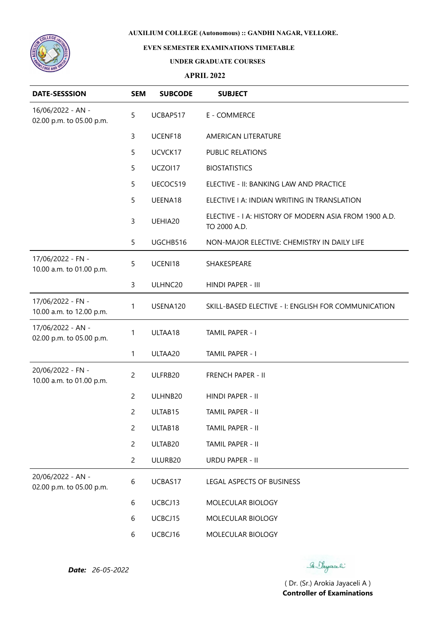

# **EVEN SEMESTER EXAMINATIONS TIMETABLE**

#### **UNDER GRADUATE COURSES**

## **APRIL 2022**

| <b>DATE-SESSSION</b>                          | <b>SEM</b>     | <b>SUBCODE</b> | <b>SUBJECT</b>                                                        |
|-----------------------------------------------|----------------|----------------|-----------------------------------------------------------------------|
| 16/06/2022 - AN -<br>02.00 p.m. to 05.00 p.m. | 5              | UCBAP517       | E - COMMERCE                                                          |
|                                               | 3              | UCENF18        | AMERICAN LITERATURE                                                   |
|                                               | 5              | UCVCK17        | PUBLIC RELATIONS                                                      |
|                                               | 5              | UCZOI17        | <b>BIOSTATISTICS</b>                                                  |
|                                               | 5              | UECOC519       | ELECTIVE - II: BANKING LAW AND PRACTICE                               |
|                                               | 5              | UEENA18        | ELECTIVE I A: INDIAN WRITING IN TRANSLATION                           |
|                                               | 3              | UEHIA20        | ELECTIVE - I A: HISTORY OF MODERN ASIA FROM 1900 A.D.<br>TO 2000 A.D. |
|                                               | 5              | UGCHB516       | NON-MAJOR ELECTIVE: CHEMISTRY IN DAILY LIFE                           |
| 17/06/2022 - FN -<br>10.00 a.m. to 01.00 p.m. | 5              | UCENI18        | SHAKESPEARE                                                           |
|                                               | 3              | ULHNC20        | HINDI PAPER - III                                                     |
| 17/06/2022 - FN -<br>10.00 a.m. to 12.00 p.m. | 1              | USENA120       | SKILL-BASED ELECTIVE - I: ENGLISH FOR COMMUNICATION                   |
| 17/06/2022 - AN -<br>02.00 p.m. to 05.00 p.m. | 1              | ULTAA18        | TAMIL PAPER - I                                                       |
|                                               | 1              | ULTAA20        | TAMIL PAPER - I                                                       |
| 20/06/2022 - FN -<br>10.00 a.m. to 01.00 p.m. | $\overline{c}$ | ULFRB20        | <b>FRENCH PAPER - II</b>                                              |
|                                               | $\overline{2}$ | ULHNB20        | HINDI PAPER - II                                                      |
|                                               | $\overline{c}$ | ULTAB15        | TAMIL PAPER - II                                                      |
|                                               | $\overline{c}$ | ULTAB18        | TAMIL PAPER - II                                                      |
|                                               | $\overline{c}$ | ULTAB20        | TAMIL PAPER - II                                                      |
|                                               | $\overline{2}$ | ULURB20        | <b>URDU PAPER - II</b>                                                |
| 20/06/2022 - AN -<br>02.00 p.m. to 05.00 p.m. | 6              | UCBAS17        | LEGAL ASPECTS OF BUSINESS                                             |
|                                               | 6              | UCBCJ13        | MOLECULAR BIOLOGY                                                     |
|                                               | 6              | UCBCJ15        | MOLECULAR BIOLOGY                                                     |
|                                               | 6              | UCBCJ16        | MOLECULAR BIOLOGY                                                     |

Se Sayaali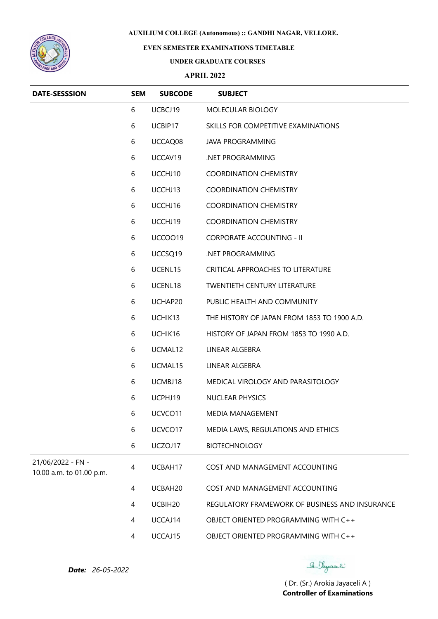

## **EVEN SEMESTER EXAMINATIONS TIMETABLE**

#### **UNDER GRADUATE COURSES**

## **APRIL 2022**

| <b>DATE-SESSSION</b>                          | <b>SEM</b> | <b>SUBCODE</b>      | <b>SUBJECT</b>                                 |
|-----------------------------------------------|------------|---------------------|------------------------------------------------|
|                                               | 6          | UCBCJ19             | MOLECULAR BIOLOGY                              |
|                                               | 6          | UCBIP17             | SKILLS FOR COMPETITIVE EXAMINATIONS            |
|                                               | 6          | UCCAQ08             | <b>JAVA PROGRAMMING</b>                        |
|                                               | 6          | UCCAV19             | NET PROGRAMMING                                |
|                                               | 6          | UCCHJ10             | <b>COORDINATION CHEMISTRY</b>                  |
|                                               | 6          | UCCHJ13             | <b>COORDINATION CHEMISTRY</b>                  |
|                                               | 6          | UCCHJ16             | <b>COORDINATION CHEMISTRY</b>                  |
|                                               | 6          | UCCHJ19             | <b>COORDINATION CHEMISTRY</b>                  |
|                                               | 6          | UCCOO19             | <b>CORPORATE ACCOUNTING - II</b>               |
|                                               | 6          | UCCSQ19             | NET PROGRAMMING                                |
|                                               | 6          | UCENL15             | CRITICAL APPROACHES TO LITERATURE              |
|                                               | 6          | UCENL18             | <b>TWENTIETH CENTURY LITERATURE</b>            |
|                                               | 6          | UCHAP20             | PUBLIC HEALTH AND COMMUNITY                    |
|                                               | 6          | UCHIK13             | THE HISTORY OF JAPAN FROM 1853 TO 1900 A.D.    |
|                                               | 6          | UCHIK16             | HISTORY OF JAPAN FROM 1853 TO 1990 A.D.        |
|                                               | 6          | UCMAL12             | LINEAR ALGEBRA                                 |
|                                               | 6          | UCMAL15             | LINEAR ALGEBRA                                 |
|                                               | 6          | UCMBJ18             | MEDICAL VIROLOGY AND PARASITOLOGY              |
|                                               | 6          | UCPHJ19             | <b>NUCLEAR PHYSICS</b>                         |
|                                               | 6          | UCVCO <sub>11</sub> | MEDIA MANAGEMENT                               |
|                                               | 6          | UCVCO17             | MEDIA LAWS, REGULATIONS AND ETHICS             |
|                                               | 6          | UCZOJ17             | <b>BIOTECHNOLOGY</b>                           |
| 21/06/2022 - FN -<br>10.00 a.m. to 01.00 p.m. | 4          | UCBAH17             | COST AND MANAGEMENT ACCOUNTING                 |
|                                               | 4          | UCBAH20             | COST AND MANAGEMENT ACCOUNTING                 |
|                                               | 4          | UCBIH20             | REGULATORY FRAMEWORK OF BUSINESS AND INSURANCE |
|                                               | 4          | UCCAJ14             | OBJECT ORIENTED PROGRAMMING WITH C++           |
|                                               | 4          | UCCAJ15             | OBJECT ORIENTED PROGRAMMING WITH C++           |

*Date: 26-05-2022*

Se Sayaali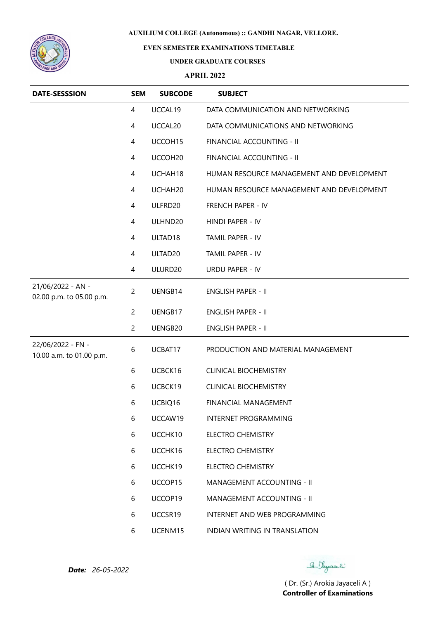

# **EVEN SEMESTER EXAMINATIONS TIMETABLE**

#### **UNDER GRADUATE COURSES**

### **APRIL 2022**

| <b>DATE-SESSSION</b>                          | <b>SEM</b>     | <b>SUBCODE</b>      | <b>SUBJECT</b>                            |
|-----------------------------------------------|----------------|---------------------|-------------------------------------------|
|                                               | 4              | UCCAL19             | DATA COMMUNICATION AND NETWORKING         |
|                                               | 4              | UCCAL20             | DATA COMMUNICATIONS AND NETWORKING        |
|                                               | 4              | UCCOH15             | FINANCIAL ACCOUNTING - II                 |
|                                               | 4              | UCCOH20             | FINANCIAL ACCOUNTING - II                 |
|                                               | 4              | UCHAH18             | HUMAN RESOURCE MANAGEMENT AND DEVELOPMENT |
|                                               | 4              | UCHAH20             | HUMAN RESOURCE MANAGEMENT AND DEVELOPMENT |
|                                               | 4              | ULFRD20             | FRENCH PAPER - IV                         |
|                                               | 4              | ULHND20             | HINDI PAPER - IV                          |
|                                               | 4              | ULTAD18             | TAMIL PAPER - IV                          |
|                                               | 4              | ULTAD <sub>20</sub> | TAMIL PAPER - IV                          |
|                                               | 4              | ULURD20             | <b>URDU PAPER - IV</b>                    |
| 21/06/2022 - AN -<br>02.00 p.m. to 05.00 p.m. | $\overline{c}$ | UENGB14             | <b>ENGLISH PAPER - II</b>                 |
|                                               | $\overline{c}$ | UENGB17             | <b>ENGLISH PAPER - II</b>                 |
|                                               | $\overline{c}$ | UENGB20             | <b>ENGLISH PAPER - II</b>                 |
| 22/06/2022 - FN -<br>10.00 a.m. to 01.00 p.m. | 6              | UCBAT17             | PRODUCTION AND MATERIAL MANAGEMENT        |
|                                               | 6              | UCBCK16             | <b>CLINICAL BIOCHEMISTRY</b>              |
|                                               | 6              | UCBCK19             | <b>CLINICAL BIOCHEMISTRY</b>              |
|                                               | 6              | UCBIQ16             | FINANCIAL MANAGEMENT                      |
|                                               | 6              | UCCAW19             | <b>INTERNET PROGRAMMING</b>               |
|                                               | 6              | UCCHK10             | <b>ELECTRO CHEMISTRY</b>                  |
|                                               | 6              | UCCHK16             | <b>ELECTRO CHEMISTRY</b>                  |
|                                               | 6              | UCCHK19             | <b>ELECTRO CHEMISTRY</b>                  |
|                                               | 6              | UCCOP15             | MANAGEMENT ACCOUNTING - II                |
|                                               | 6              | UCCOP19             | MANAGEMENT ACCOUNTING - II                |
|                                               | 6              | UCCSR19             | INTERNET AND WEB PROGRAMMING              |
|                                               | 6              | UCENM15             | INDIAN WRITING IN TRANSLATION             |

Se Sayaali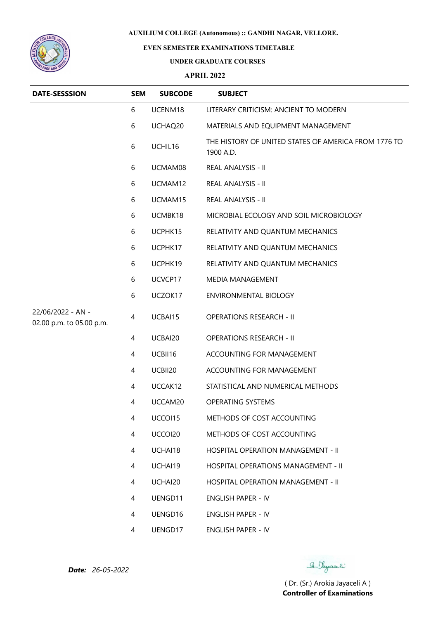

## **EVEN SEMESTER EXAMINATIONS TIMETABLE**

#### **UNDER GRADUATE COURSES**

### **APRIL 2022**

| <b>DATE-SESSSION</b>                          | <b>SEM</b> | <b>SUBCODE</b> | <b>SUBJECT</b>                                                    |
|-----------------------------------------------|------------|----------------|-------------------------------------------------------------------|
|                                               | 6          | UCENM18        | LITERARY CRITICISM: ANCIENT TO MODERN                             |
|                                               | 6          | UCHAQ20        | MATERIALS AND EQUIPMENT MANAGEMENT                                |
|                                               | 6          | UCHIL16        | THE HISTORY OF UNITED STATES OF AMERICA FROM 1776 TO<br>1900 A.D. |
|                                               | 6          | UCMAM08        | REAL ANALYSIS - II                                                |
|                                               | 6          | UCMAM12        | REAL ANALYSIS - II                                                |
|                                               | 6          | UCMAM15        | REAL ANALYSIS - II                                                |
|                                               | 6          | UCMBK18        | MICROBIAL ECOLOGY AND SOIL MICROBIOLOGY                           |
|                                               | 6          | UCPHK15        | RELATIVITY AND QUANTUM MECHANICS                                  |
|                                               | 6          | UCPHK17        | RELATIVITY AND QUANTUM MECHANICS                                  |
|                                               | 6          | UCPHK19        | RELATIVITY AND QUANTUM MECHANICS                                  |
|                                               | 6          | UCVCP17        | MEDIA MANAGEMENT                                                  |
|                                               | 6          | UCZOK17        | <b>ENVIRONMENTAL BIOLOGY</b>                                      |
| 22/06/2022 - AN -<br>02.00 p.m. to 05.00 p.m. | 4          | UCBAI15        | <b>OPERATIONS RESEARCH - II</b>                                   |
|                                               | 4          | UCBAI20        | <b>OPERATIONS RESEARCH - II</b>                                   |
|                                               | 4          | UCBII16        | ACCOUNTING FOR MANAGEMENT                                         |
|                                               | 4          | UCBII20        | ACCOUNTING FOR MANAGEMENT                                         |
|                                               | 4          | UCCAK12        | STATISTICAL AND NUMERICAL METHODS                                 |
|                                               | 4          | UCCAM20        | <b>OPERATING SYSTEMS</b>                                          |
|                                               | 4          | UCCOI15        | METHODS OF COST ACCOUNTING                                        |
|                                               | 4          | UCCOI20        | METHODS OF COST ACCOUNTING                                        |
|                                               | 4          | UCHAI18        | HOSPITAL OPERATION MANAGEMENT - II                                |
|                                               | 4          | UCHAI19        | HOSPITAL OPERATIONS MANAGEMENT - II                               |
|                                               | 4          | UCHAI20        | HOSPITAL OPERATION MANAGEMENT - II                                |
|                                               | 4          | UENGD11        | <b>ENGLISH PAPER - IV</b>                                         |
|                                               | 4          | UENGD16        | ENGLISH PAPER - IV                                                |
|                                               | 4          | UENGD17        | <b>ENGLISH PAPER - IV</b>                                         |

*Date: 26-05-2022*

Se Sayaali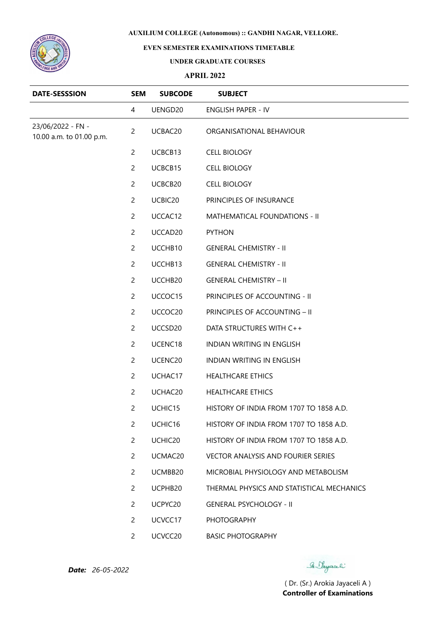

# **EVEN SEMESTER EXAMINATIONS TIMETABLE**

#### **UNDER GRADUATE COURSES**

## **APRIL 2022**

| <b>DATE-SESSSION</b>                          | <b>SEM</b>     | <b>SUBCODE</b>      | <b>SUBJECT</b>                            |
|-----------------------------------------------|----------------|---------------------|-------------------------------------------|
|                                               | 4              | UENGD20             | <b>ENGLISH PAPER - IV</b>                 |
| 23/06/2022 - FN -<br>10.00 a.m. to 01.00 p.m. | $\overline{2}$ | UCBAC20             | ORGANISATIONAL BEHAVIOUR                  |
|                                               | $\overline{c}$ | UCBCB13             | <b>CELL BIOLOGY</b>                       |
|                                               | $\overline{c}$ | UCBCB15             | <b>CELL BIOLOGY</b>                       |
|                                               | $\overline{2}$ | UCBCB20             | <b>CELL BIOLOGY</b>                       |
|                                               | $\overline{2}$ | UCBIC20             | PRINCIPLES OF INSURANCE                   |
|                                               | $\overline{2}$ | UCCAC12             | MATHEMATICAL FOUNDATIONS - II             |
|                                               | $\overline{2}$ | UCCAD20             | <b>PYTHON</b>                             |
|                                               | $\overline{2}$ | UCCHB10             | <b>GENERAL CHEMISTRY - II</b>             |
|                                               | $\overline{2}$ | UCCHB13             | <b>GENERAL CHEMISTRY - II</b>             |
|                                               | $\overline{c}$ | UCCHB20             | <b>GENERAL CHEMISTRY - II</b>             |
|                                               | $\overline{c}$ | UCCOC15             | PRINCIPLES OF ACCOUNTING - II             |
|                                               | $\overline{2}$ | UCCOC20             | PRINCIPLES OF ACCOUNTING - II             |
|                                               | $\overline{2}$ | UCCSD <sub>20</sub> | DATA STRUCTURES WITH C++                  |
|                                               | $\overline{c}$ | UCENC18             | <b>INDIAN WRITING IN ENGLISH</b>          |
|                                               | $\overline{2}$ | UCENC20             | <b>INDIAN WRITING IN ENGLISH</b>          |
|                                               | $\overline{2}$ | UCHAC17             | <b>HEALTHCARE ETHICS</b>                  |
|                                               | $\overline{2}$ | UCHAC20             | <b>HEALTHCARE ETHICS</b>                  |
|                                               | $\overline{c}$ | UCHIC15             | HISTORY OF INDIA FROM 1707 TO 1858 A.D.   |
|                                               | $\overline{2}$ | UCHIC16             | HISTORY OF INDIA FROM 1707 TO 1858 A.D.   |
|                                               | $\overline{2}$ | UCHIC20             | HISTORY OF INDIA FROM 1707 TO 1858 A.D.   |
|                                               | $\overline{2}$ | UCMAC20             | <b>VECTOR ANALYSIS AND FOURIER SERIES</b> |
|                                               | $\overline{2}$ | UCMBB20             | MICROBIAL PHYSIOLOGY AND METABOLISM       |
|                                               | $\overline{2}$ | UCPHB20             | THERMAL PHYSICS AND STATISTICAL MECHANICS |
|                                               | $\overline{2}$ | UCPYC20             | <b>GENERAL PSYCHOLOGY - II</b>            |
|                                               | $\overline{2}$ | UCVCC17             | <b>PHOTOGRAPHY</b>                        |
|                                               | $\overline{2}$ | UCVCC20             | <b>BASIC PHOTOGRAPHY</b>                  |

Se Sayaali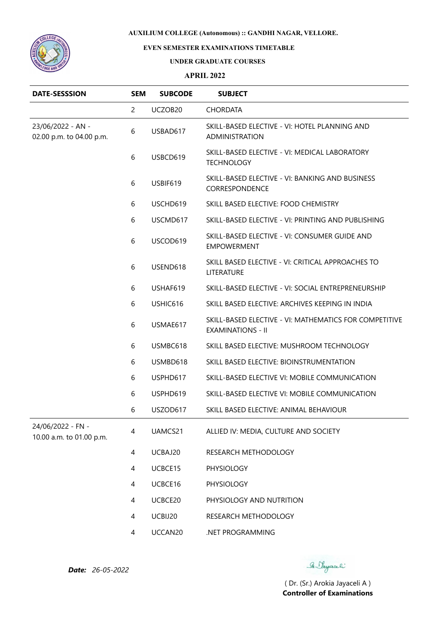

# **EVEN SEMESTER EXAMINATIONS TIMETABLE**

#### **UNDER GRADUATE COURSES**

### **APRIL 2022**

| <b>DATE-SESSSION</b>                          | <b>SEM</b>     | <b>SUBCODE</b> | <b>SUBJECT</b>                                                                     |
|-----------------------------------------------|----------------|----------------|------------------------------------------------------------------------------------|
|                                               | $\overline{2}$ | UCZOB20        | <b>CHORDATA</b>                                                                    |
| 23/06/2022 - AN -<br>02.00 p.m. to 04.00 p.m. | 6              | USBAD617       | SKILL-BASED ELECTIVE - VI: HOTEL PLANNING AND<br><b>ADMINISTRATION</b>             |
|                                               | 6              | USBCD619       | SKILL-BASED ELECTIVE - VI: MEDICAL LABORATORY<br><b>TECHNOLOGY</b>                 |
|                                               | 6              | USBIF619       | SKILL-BASED ELECTIVE - VI: BANKING AND BUSINESS<br>CORRESPONDENCE                  |
|                                               | 6              | USCHD619       | SKILL BASED ELECTIVE: FOOD CHEMISTRY                                               |
|                                               | 6              | USCMD617       | SKILL-BASED ELECTIVE - VI: PRINTING AND PUBLISHING                                 |
|                                               | 6              | USCOD619       | SKILL-BASED ELECTIVE - VI: CONSUMER GUIDE AND<br><b>EMPOWERMENT</b>                |
|                                               | 6              | USEND618       | SKILL BASED ELECTIVE - VI: CRITICAL APPROACHES TO<br>LITERATURE                    |
|                                               | 6              | USHAF619       | SKILL-BASED ELECTIVE - VI: SOCIAL ENTREPRENEURSHIP                                 |
|                                               | 6              | USHIC616       | SKILL BASED ELECTIVE: ARCHIVES KEEPING IN INDIA                                    |
|                                               | 6              | USMAE617       | SKILL-BASED ELECTIVE - VI: MATHEMATICS FOR COMPETITIVE<br><b>EXAMINATIONS - II</b> |
|                                               | 6              | USMBC618       | SKILL BASED ELECTIVE: MUSHROOM TECHNOLOGY                                          |
|                                               | 6              | USMBD618       | SKILL BASED ELECTIVE: BIOINSTRUMENTATION                                           |
|                                               | 6              | USPHD617       | SKILL-BASED ELECTIVE VI: MOBILE COMMUNICATION                                      |
|                                               | 6              | USPHD619       | SKILL-BASED ELECTIVE VI: MOBILE COMMUNICATION                                      |
|                                               | 6              | USZOD617       | SKILL BASED ELECTIVE: ANIMAL BEHAVIOUR                                             |
| 24/06/2022 - FN -<br>10.00 a.m. to 01.00 p.m. | 4              | UAMCS21        | ALLIED IV: MEDIA, CULTURE AND SOCIETY                                              |
|                                               | 4              | UCBAJ20        | RESEARCH METHODOLOGY                                                               |
|                                               | 4              | UCBCE15        | PHYSIOLOGY                                                                         |
|                                               | 4              | UCBCE16        | PHYSIOLOGY                                                                         |
|                                               | 4              | UCBCE20        | PHYSIOLOGY AND NUTRITION                                                           |
|                                               | 4              | UCBIJ20        | RESEARCH METHODOLOGY                                                               |
|                                               | 4              | UCCAN20        | .NET PROGRAMMING                                                                   |

*Date: 26-05-2022*

Se Sayaali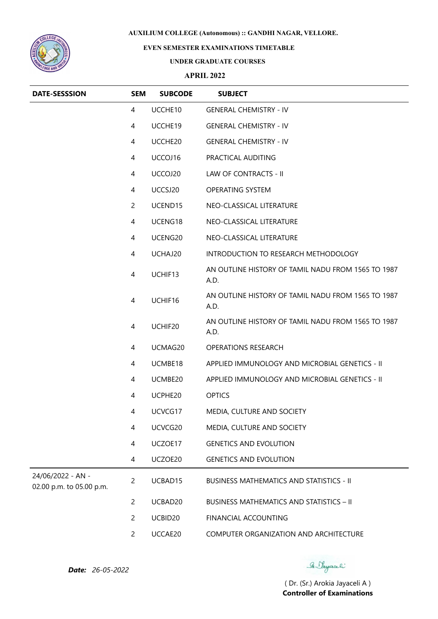

## **EVEN SEMESTER EXAMINATIONS TIMETABLE**

#### **UNDER GRADUATE COURSES**

### **APRIL 2022**

| <b>DATE-SESSSION</b>                          | <b>SEM</b>     | <b>SUBCODE</b> | <b>SUBJECT</b>                                             |
|-----------------------------------------------|----------------|----------------|------------------------------------------------------------|
|                                               | 4              | UCCHE10        | <b>GENERAL CHEMISTRY - IV</b>                              |
|                                               | 4              | UCCHE19        | <b>GENERAL CHEMISTRY - IV</b>                              |
|                                               | 4              | UCCHE20        | <b>GENERAL CHEMISTRY - IV</b>                              |
|                                               | 4              | UCCOJ16        | PRACTICAL AUDITING                                         |
|                                               | 4              | UCCOJ20        | LAW OF CONTRACTS - II                                      |
|                                               | 4              | UCCSJ20        | OPERATING SYSTEM                                           |
|                                               | $\overline{2}$ | UCEND15        | NEO-CLASSICAL LITERATURE                                   |
|                                               | $\overline{4}$ | UCENG18        | NEO-CLASSICAL LITERATURE                                   |
|                                               | 4              | UCENG20        | NEO-CLASSICAL LITERATURE                                   |
|                                               | 4              | UCHAJ20        | INTRODUCTION TO RESEARCH METHODOLOGY                       |
|                                               | $\overline{4}$ | UCHIF13        | AN OUTLINE HISTORY OF TAMIL NADU FROM 1565 TO 1987<br>A.D. |
|                                               | 4              | UCHIF16        | AN OUTLINE HISTORY OF TAMIL NADU FROM 1565 TO 1987<br>A.D. |
|                                               | 4              | UCHIF20        | AN OUTLINE HISTORY OF TAMIL NADU FROM 1565 TO 1987<br>A.D. |
|                                               | 4              | UCMAG20        | <b>OPERATIONS RESEARCH</b>                                 |
|                                               | 4              | UCMBE18        | APPLIED IMMUNOLOGY AND MICROBIAL GENETICS - II             |
|                                               | 4              | UCMBE20        | APPLIED IMMUNOLOGY AND MICROBIAL GENETICS - II             |
|                                               | 4              | UCPHE20        | <b>OPTICS</b>                                              |
|                                               | 4              | UCVCG17        | MEDIA, CULTURE AND SOCIETY                                 |
|                                               | 4              | UCVCG20        | MEDIA, CULTURE AND SOCIETY                                 |
|                                               | 4              | UCZOE17        | <b>GENETICS AND EVOLUTION</b>                              |
|                                               | 4              | UCZOE20        | <b>GENETICS AND EVOLUTION</b>                              |
| 24/06/2022 - AN -<br>02.00 p.m. to 05.00 p.m. | $\overline{c}$ | UCBAD15        | <b>BUSINESS MATHEMATICS AND STATISTICS - II</b>            |
|                                               | $\overline{c}$ | UCBAD20        | <b>BUSINESS MATHEMATICS AND STATISTICS - II</b>            |
|                                               | $\overline{c}$ | UCBID20        | FINANCIAL ACCOUNTING                                       |
|                                               | $\overline{c}$ | UCCAE20        | COMPUTER ORGANIZATION AND ARCHITECTURE                     |

Se Sayaali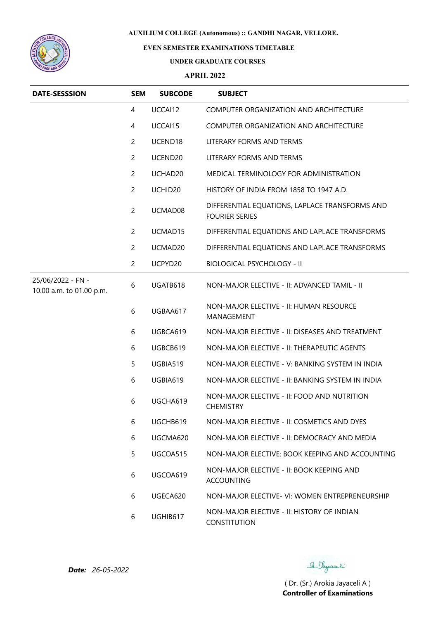

# **EVEN SEMESTER EXAMINATIONS TIMETABLE**

#### **UNDER GRADUATE COURSES**

### **APRIL 2022**

| <b>DATE-SESSSION</b>                          | <b>SEM</b>     | <b>SUBCODE</b>      | <b>SUBJECT</b>                                                          |
|-----------------------------------------------|----------------|---------------------|-------------------------------------------------------------------------|
|                                               | 4              | UCCAI12             | COMPUTER ORGANIZATION AND ARCHITECTURE                                  |
|                                               | 4              | UCCAI15             | COMPUTER ORGANIZATION AND ARCHITECTURE                                  |
|                                               | $\overline{c}$ | UCEND18             | LITERARY FORMS AND TERMS                                                |
|                                               | $\overline{2}$ | UCEND20             | LITERARY FORMS AND TERMS                                                |
|                                               | $\overline{c}$ | UCHAD20             | MEDICAL TERMINOLOGY FOR ADMINISTRATION                                  |
|                                               | $\overline{c}$ | UCHID <sub>20</sub> | HISTORY OF INDIA FROM 1858 TO 1947 A.D.                                 |
|                                               | $\overline{2}$ | UCMAD08             | DIFFERENTIAL EQUATIONS, LAPLACE TRANSFORMS AND<br><b>FOURIER SERIES</b> |
|                                               | $\overline{2}$ | UCMAD15             | DIFFERENTIAL EQUATIONS AND LAPLACE TRANSFORMS                           |
|                                               | $\overline{c}$ | UCMAD20             | DIFFERENTIAL EQUATIONS AND LAPLACE TRANSFORMS                           |
|                                               | $\overline{2}$ | UCPYD20             | <b>BIOLOGICAL PSYCHOLOGY - II</b>                                       |
| 25/06/2022 - FN -<br>10.00 a.m. to 01.00 p.m. | 6              | UGATB618            | NON-MAJOR ELECTIVE - II: ADVANCED TAMIL - II                            |
|                                               | 6              | UGBAA617            | NON-MAJOR ELECTIVE - II: HUMAN RESOURCE<br>MANAGEMENT                   |
|                                               | 6              | UGBCA619            | NON-MAJOR ELECTIVE - II: DISEASES AND TREATMENT                         |
|                                               | 6              | UGBCB619            | NON-MAJOR ELECTIVE - II: THERAPEUTIC AGENTS                             |
|                                               | 5              | UGBIA519            | NON-MAJOR ELECTIVE - V: BANKING SYSTEM IN INDIA                         |
|                                               | 6              | UGBIA619            | NON-MAJOR ELECTIVE - II: BANKING SYSTEM IN INDIA                        |
|                                               | 6              | UGCHA619            | NON-MAJOR ELECTIVE - II: FOOD AND NUTRITION<br><b>CHEMISTRY</b>         |
|                                               | 6              | UGCHB619            | NON-MAJOR ELECTIVE - II: COSMETICS AND DYES                             |
|                                               | 6              | UGCMA620            | NON-MAJOR ELECTIVE - II: DEMOCRACY AND MEDIA                            |
|                                               | 5              | UGCOA515            | NON-MAJOR ELECTIVE: BOOK KEEPING AND ACCOUNTING                         |
|                                               | 6              | UGCOA619            | NON-MAJOR ELECTIVE - II: BOOK KEEPING AND<br><b>ACCOUNTING</b>          |
|                                               | 6              | UGECA620            | NON-MAJOR ELECTIVE- VI: WOMEN ENTREPRENEURSHIP                          |
|                                               | 6              | UGHIB617            | NON-MAJOR ELECTIVE - II: HISTORY OF INDIAN<br><b>CONSTITUTION</b>       |

Se Sayaali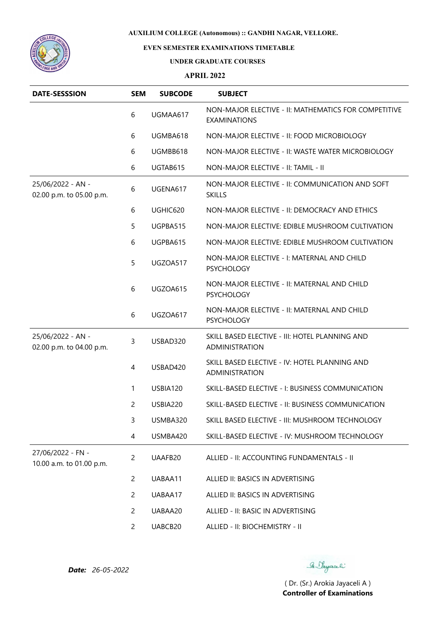



## **EVEN SEMESTER EXAMINATIONS TIMETABLE**

#### **UNDER GRADUATE COURSES**

### **APRIL 2022**

| <b>DATE-SESSSION</b>                          | <b>SEM</b>     | <b>SUBCODE</b> | <b>SUBJECT</b>                                                              |
|-----------------------------------------------|----------------|----------------|-----------------------------------------------------------------------------|
|                                               | 6              | UGMAA617       | NON-MAJOR ELECTIVE - II: MATHEMATICS FOR COMPETITIVE<br><b>EXAMINATIONS</b> |
|                                               | 6              | UGMBA618       | NON-MAJOR ELECTIVE - II: FOOD MICROBIOLOGY                                  |
|                                               | 6              | UGMBB618       | NON-MAJOR ELECTIVE - II: WASTE WATER MICROBIOLOGY                           |
|                                               | 6              | UGTAB615       | NON-MAJOR ELECTIVE - II: TAMIL - II                                         |
| 25/06/2022 - AN -<br>02.00 p.m. to 05.00 p.m. | 6              | UGENA617       | NON-MAJOR ELECTIVE - II: COMMUNICATION AND SOFT<br><b>SKILLS</b>            |
|                                               | 6              | UGHIC620       | NON-MAJOR ELECTIVE - II: DEMOCRACY AND ETHICS                               |
|                                               | 5              | UGPBA515       | NON-MAJOR ELECTIVE: EDIBLE MUSHROOM CULTIVATION                             |
|                                               | 6              | UGPBA615       | NON-MAJOR ELECTIVE: EDIBLE MUSHROOM CULTIVATION                             |
|                                               | 5              | UGZOA517       | NON-MAJOR ELECTIVE - I: MATERNAL AND CHILD<br><b>PSYCHOLOGY</b>             |
|                                               | 6              | UGZOA615       | NON-MAJOR ELECTIVE - II: MATERNAL AND CHILD<br><b>PSYCHOLOGY</b>            |
|                                               | 6              | UGZOA617       | NON-MAJOR ELECTIVE - II: MATERNAL AND CHILD<br><b>PSYCHOLOGY</b>            |
| 25/06/2022 - AN -<br>02.00 p.m. to 04.00 p.m. | 3              | USBAD320       | SKILL BASED ELECTIVE - III: HOTEL PLANNING AND<br>ADMINISTRATION            |
|                                               | 4              | USBAD420       | SKILL BASED ELECTIVE - IV: HOTEL PLANNING AND<br>ADMINISTRATION             |
|                                               | 1              | USBIA120       | SKILL-BASED ELECTIVE - I: BUSINESS COMMUNICATION                            |
|                                               | $\overline{c}$ | USBIA220       | SKILL-BASED ELECTIVE - II: BUSINESS COMMUNICATION                           |
|                                               | 3              | USMBA320       | SKILL BASED ELECTIVE - III: MUSHROOM TECHNOLOGY                             |
|                                               | 4              | USMBA420       | SKILL-BASED ELECTIVE - IV: MUSHROOM TECHNOLOGY                              |
| 27/06/2022 - FN -<br>10.00 a.m. to 01.00 p.m. | $\overline{c}$ | UAAFB20        | ALLIED - II: ACCOUNTING FUNDAMENTALS - II                                   |
|                                               | $\overline{c}$ | UABAA11        | ALLIED II: BASICS IN ADVERTISING                                            |
|                                               | $\overline{c}$ | UABAA17        | ALLIED II: BASICS IN ADVERTISING                                            |
|                                               | $\overline{c}$ | UABAA20        | ALLIED - II: BASIC IN ADVERTISING                                           |
|                                               | $\overline{c}$ | UABCB20        | ALLIED - II: BIOCHEMISTRY - II                                              |

*Date: 26-05-2022*

Se Sayaali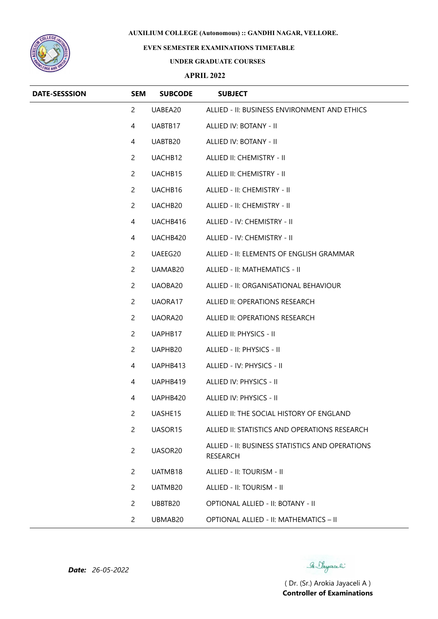

## **EVEN SEMESTER EXAMINATIONS TIMETABLE**

#### **UNDER GRADUATE COURSES**

### **APRIL 2022**

| <b>DATE-SESSSION</b> | <b>SEM</b>     | <b>SUBCODE</b>      | <b>SUBJECT</b>                                              |
|----------------------|----------------|---------------------|-------------------------------------------------------------|
|                      | $\overline{c}$ | UABEA20             | ALLIED - II: BUSINESS ENVIRONMENT AND ETHICS                |
|                      | 4              | UABTB17             | ALLIED IV: BOTANY - II                                      |
|                      | 4              | UABTB20             | ALLIED IV: BOTANY - II                                      |
|                      | $\mathbf{2}$   | UACHB12             | ALLIED II: CHEMISTRY - II                                   |
|                      | $\overline{2}$ | UACHB15             | ALLIED II: CHEMISTRY - II                                   |
|                      | $\overline{2}$ | UACHB16             | ALLIED - II: CHEMISTRY - II                                 |
|                      | $\overline{2}$ | UACHB20             | ALLIED - II: CHEMISTRY - II                                 |
|                      | 4              | UACHB416            | ALLIED - IV: CHEMISTRY - II                                 |
|                      | 4              | UACHB420            | ALLIED - IV: CHEMISTRY - II                                 |
|                      | $\mathbf{2}$   | UAEEG20             | ALLIED - II: ELEMENTS OF ENGLISH GRAMMAR                    |
|                      | $\overline{2}$ | UAMAB20             | ALLIED - II: MATHEMATICS - II                               |
|                      | $\overline{2}$ | UAOBA20             | ALLIED - II: ORGANISATIONAL BEHAVIOUR                       |
|                      | $\mathbf{2}$   | UAORA17             | ALLIED II: OPERATIONS RESEARCH                              |
|                      | $\overline{2}$ | UAORA20             | ALLIED II: OPERATIONS RESEARCH                              |
|                      | $\mathbf{2}$   | UAPHB17             | ALLIED II: PHYSICS - II                                     |
|                      | $\overline{2}$ | UAPHB20             | ALLIED - II: PHYSICS - II                                   |
|                      | 4              | UAPHB413            | ALLIED - IV: PHYSICS - II                                   |
|                      | 4              | UAPHB419            | ALLIED IV: PHYSICS - II                                     |
|                      | 4              | UAPHB420            | ALLIED IV: PHYSICS - II                                     |
|                      | $\overline{c}$ | UASHE15             | ALLIED II: THE SOCIAL HISTORY OF ENGLAND                    |
|                      | $\overline{2}$ | UASOR <sub>15</sub> | ALLIED II: STATISTICS AND OPERATIONS RESEARCH               |
|                      | $\mathbf{2}$   | UASOR20             | ALLIED - II: BUSINESS STATISTICS AND OPERATIONS<br>RESEARCH |
|                      | $\overline{2}$ | UATMB18             | ALLIED - II: TOURISM - II                                   |
|                      | $\overline{2}$ | UATMB20             | ALLIED - II: TOURISM - II                                   |
|                      | $\mathbf{2}$   | UBBTB20             | OPTIONAL ALLIED - II: BOTANY - II                           |
|                      | $\overline{2}$ | UBMAB20             | OPTIONAL ALLIED - II: MATHEMATICS - II                      |

*Date: 26-05-2022*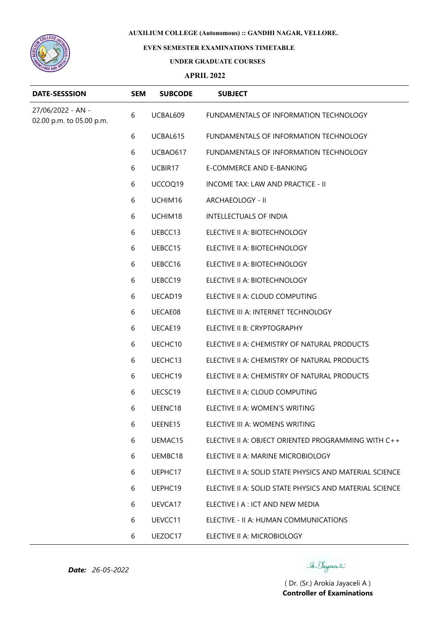

# **EVEN SEMESTER EXAMINATIONS TIMETABLE**

### **UNDER GRADUATE COURSES**

### **APRIL 2022**

| <b>DATE-SESSSION</b>                          | <b>SEM</b> | <b>SUBCODE</b> | <b>SUBJECT</b>                                          |
|-----------------------------------------------|------------|----------------|---------------------------------------------------------|
| 27/06/2022 - AN -<br>02.00 p.m. to 05.00 p.m. | 6          | UCBAL609       | FUNDAMENTALS OF INFORMATION TECHNOLOGY                  |
|                                               | 6          | UCBAL615       | FUNDAMENTALS OF INFORMATION TECHNOLOGY                  |
|                                               | 6          | UCBAO617       | FUNDAMENTALS OF INFORMATION TECHNOLOGY                  |
|                                               | 6          | UCBIR17        | E-COMMERCE AND E-BANKING                                |
|                                               | 6          | UCCOQ19        | INCOME TAX: LAW AND PRACTICE - II                       |
|                                               | 6          | UCHIM16        | ARCHAEOLOGY - II                                        |
|                                               | 6          | UCHIM18        | <b>INTELLECTUALS OF INDIA</b>                           |
|                                               | 6          | UEBCC13        | ELECTIVE II A: BIOTECHNOLOGY                            |
|                                               | 6          | UEBCC15        | ELECTIVE II A: BIOTECHNOLOGY                            |
|                                               | 6          | UEBCC16        | ELECTIVE II A: BIOTECHNOLOGY                            |
|                                               | 6          | UEBCC19        | ELECTIVE II A: BIOTECHNOLOGY                            |
|                                               | 6          | UECAD19        | ELECTIVE II A: CLOUD COMPUTING                          |
|                                               | 6          | UECAE08        | ELECTIVE III A: INTERNET TECHNOLOGY                     |
|                                               | 6          | UECAE19        | ELECTIVE II B: CRYPTOGRAPHY                             |
|                                               | 6          | UECHC10        | ELECTIVE II A: CHEMISTRY OF NATURAL PRODUCTS            |
|                                               | 6          | UECHC13        | ELECTIVE II A: CHEMISTRY OF NATURAL PRODUCTS            |
|                                               | 6          | UECHC19        | ELECTIVE II A: CHEMISTRY OF NATURAL PRODUCTS            |
|                                               | 6          | UECSC19        | ELECTIVE II A: CLOUD COMPUTING                          |
|                                               | 6          | UEENC18        | ELECTIVE II A: WOMEN'S WRITING                          |
|                                               | 6          | UEENE15        | ELECTIVE III A: WOMENS WRITING                          |
|                                               | 6          | UEMAC15        | ELECTIVE II A: OBJECT ORIENTED PROGRAMMING WITH C++     |
|                                               | 6          | UEMBC18        | ELECTIVE II A: MARINE MICROBIOLOGY                      |
|                                               | 6          | UEPHC17        | ELECTIVE II A: SOLID STATE PHYSICS AND MATERIAL SCIENCE |
|                                               | 6          | UEPHC19        | FLECTIVE ILA: SOLID STATE PHYSICS AND MATERIAL SCIENCE  |
|                                               | 6          | UEVCA17        | ELECTIVE I A : ICT AND NEW MEDIA                        |
|                                               | 6          | UEVCC11        | ELECTIVE - II A: HUMAN COMMUNICATIONS                   |
|                                               | 6          | UEZOC17        | ELECTIVE II A: MICROBIOLOGY                             |

B. Payaceli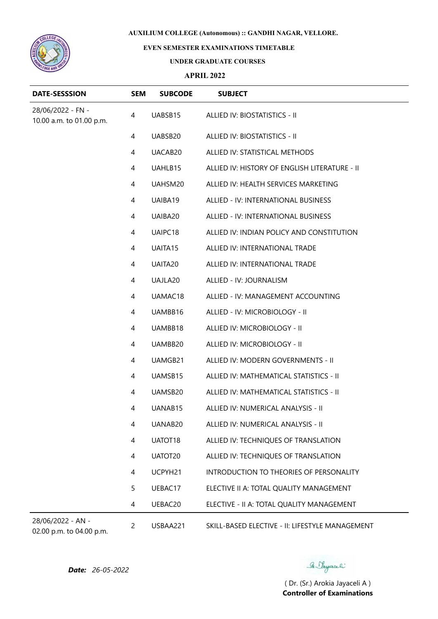

## **EVEN SEMESTER EXAMINATIONS TIMETABLE**

### **UNDER GRADUATE COURSES**

### **APRIL 2022**

| <b>DATE-SESSSION</b>                          | <b>SEM</b>     | <b>SUBCODE</b> | <b>SUBJECT</b>                                  |
|-----------------------------------------------|----------------|----------------|-------------------------------------------------|
| 28/06/2022 - FN -<br>10.00 a.m. to 01.00 p.m. | 4              | UABSB15        | ALLIED IV: BIOSTATISTICS - II                   |
|                                               | 4              | UABSB20        | ALLIED IV: BIOSTATISTICS - II                   |
|                                               | 4              | UACAB20        | ALLIED IV: STATISTICAL METHODS                  |
|                                               | 4              | UAHLB15        | ALLIED IV: HISTORY OF ENGLISH LITERATURE - II   |
|                                               | $\overline{4}$ | UAHSM20        | ALLIED IV: HEALTH SERVICES MARKETING            |
|                                               | 4              | UAIBA19        | ALLIED - IV: INTERNATIONAL BUSINESS             |
|                                               | 4              | UAIBA20        | ALLIED - IV: INTERNATIONAL BUSINESS             |
|                                               | 4              | UAIPC18        | ALLIED IV: INDIAN POLICY AND CONSTITUTION       |
|                                               | 4              | UAITA15        | ALLIED IV: INTERNATIONAL TRADE                  |
|                                               | 4              | UAITA20        | ALLIED IV: INTERNATIONAL TRADE                  |
|                                               | 4              | UAJLA20        | ALLIED - IV: JOURNALISM                         |
|                                               | 4              | UAMAC18        | ALLIED - IV: MANAGEMENT ACCOUNTING              |
|                                               | 4              | UAMBB16        | ALLIED - IV: MICROBIOLOGY - II                  |
|                                               | 4              | UAMBB18        | ALLIED IV: MICROBIOLOGY - II                    |
|                                               | 4              | UAMBB20        | ALLIED IV: MICROBIOLOGY - II                    |
|                                               | 4              | UAMGB21        | ALLIED IV: MODERN GOVERNMENTS - II              |
|                                               | 4              | UAMSB15        | ALLIED IV: MATHEMATICAL STATISTICS - II         |
|                                               | 4              | UAMSB20        | ALLIED IV: MATHEMATICAL STATISTICS - II         |
|                                               | 4              | UANAB15        | ALLIED IV: NUMERICAL ANALYSIS - II              |
|                                               | 4              | UANAB20        | ALLIED IV: NUMERICAL ANALYSIS - II              |
|                                               | 4              | UATOT18        | ALLIED IV: TECHNIQUES OF TRANSLATION            |
|                                               | 4              | UATOT20        | ALLIED IV: TECHNIQUES OF TRANSLATION            |
|                                               | 4              | UCPYH21        | INTRODUCTION TO THEORIES OF PERSONALITY         |
|                                               | 5              | UEBAC17        | ELECTIVE II A: TOTAL QUALITY MANAGEMENT         |
|                                               | 4              | UEBAC20        | ELECTIVE - II A: TOTAL QUALITY MANAGEMENT       |
| 28/06/2022 - AN -                             | $\overline{2}$ | USBAA221       | SKILL-BASED ELECTIVE - II: LIFESTYLE MANAGEMENT |

02.00 p.m. to 04.00 p.m.

*Date: 26-05-2022*

Se Sayaali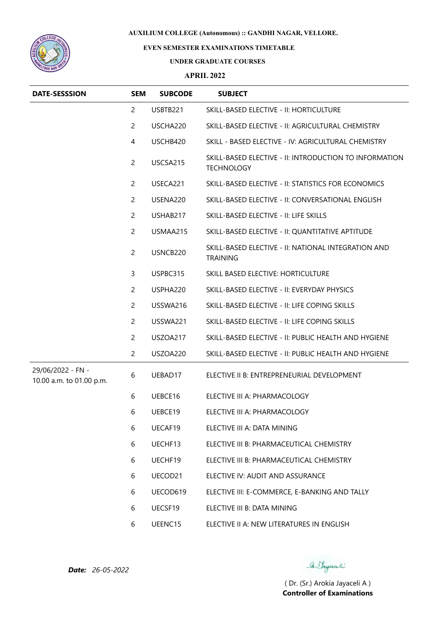

## **EVEN SEMESTER EXAMINATIONS TIMETABLE**

#### **UNDER GRADUATE COURSES**

### **APRIL 2022**

| <b>DATE-SESSSION</b>                          | <b>SEM</b>     | <b>SUBCODE</b> | <b>SUBJECT</b>                                                              |
|-----------------------------------------------|----------------|----------------|-----------------------------------------------------------------------------|
|                                               | $\overline{2}$ | USBTB221       | SKILL-BASED ELECTIVE - II: HORTICULTURE                                     |
|                                               | $\overline{c}$ | USCHA220       | SKILL-BASED ELECTIVE - II: AGRICULTURAL CHEMISTRY                           |
|                                               | 4              | USCHB420       | SKILL - BASED ELECTIVE - IV: AGRICULTURAL CHEMISTRY                         |
|                                               | $\overline{c}$ | USCSA215       | SKILL-BASED ELECTIVE - II: INTRODUCTION TO INFORMATION<br><b>TECHNOLOGY</b> |
|                                               | $\overline{2}$ | USECA221       | SKILL-BASED ELECTIVE - II: STATISTICS FOR ECONOMICS                         |
|                                               | $\overline{2}$ | USENA220       | SKILL-BASED ELECTIVE - II: CONVERSATIONAL ENGLISH                           |
|                                               | 2              | USHAB217       | SKILL-BASED ELECTIVE - II: LIFE SKILLS                                      |
|                                               | $\overline{2}$ | USMAA215       | SKILL-BASED ELECTIVE - II: QUANTITATIVE APTITUDE                            |
|                                               | $\overline{c}$ | USNCB220       | SKILL-BASED ELECTIVE - II: NATIONAL INTEGRATION AND<br><b>TRAINING</b>      |
|                                               | 3              | USPBC315       | SKILL BASED ELECTIVE: HORTICULTURE                                          |
|                                               | $\overline{2}$ | USPHA220       | SKILL-BASED ELECTIVE - II: EVERYDAY PHYSICS                                 |
|                                               | $\overline{c}$ | USSWA216       | SKILL-BASED ELECTIVE - II: LIFE COPING SKILLS                               |
|                                               | 2              | USSWA221       | SKILL-BASED ELECTIVE - II: LIFE COPING SKILLS                               |
|                                               | $\overline{c}$ | USZOA217       | SKILL-BASED ELECTIVE - II: PUBLIC HEALTH AND HYGIENE                        |
|                                               | $\overline{c}$ | USZOA220       | SKILL-BASED ELECTIVE - II: PUBLIC HEALTH AND HYGIENE                        |
| 29/06/2022 - FN -<br>10.00 a.m. to 01.00 p.m. | 6              | UEBAD17        | ELECTIVE II B: ENTREPRENEURIAL DEVELOPMENT                                  |
|                                               | 6              | UEBCE16        | ELECTIVE III A: PHARMACOLOGY                                                |
|                                               | 6              | UEBCE19        | ELECTIVE III A: PHARMACOLOGY                                                |
|                                               | 6              | UECAF19        | ELECTIVE III A: DATA MINING                                                 |
|                                               | 6              | UECHF13        | ELECTIVE III B: PHARMACEUTICAL CHEMISTRY                                    |
|                                               | 6              | UECHF19        | ELECTIVE III B: PHARMACEUTICAL CHEMISTRY                                    |
|                                               | 6              | UECOD21        | ELECTIVE IV: AUDIT AND ASSURANCE                                            |
|                                               | 6              | UECOD619       | ELECTIVE III: E-COMMERCE, E-BANKING AND TALLY                               |
|                                               | 6              | UECSF19        | ELECTIVE III B: DATA MINING                                                 |
|                                               | 6              | UEENC15        | ELECTIVE II A: NEW LITERATURES IN ENGLISH                                   |

Se Sayaali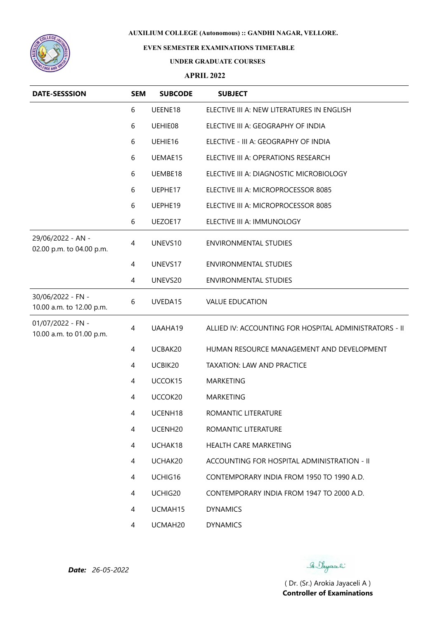

# **EVEN SEMESTER EXAMINATIONS TIMETABLE**

#### **UNDER GRADUATE COURSES**

### **APRIL 2022**

| <b>DATE-SESSSION</b>                          | <b>SEM</b> | <b>SUBCODE</b>      | <b>SUBJECT</b>                                         |
|-----------------------------------------------|------------|---------------------|--------------------------------------------------------|
|                                               | 6          | UEENE18             | ELECTIVE III A: NEW LITERATURES IN ENGLISH             |
|                                               | 6          | UEHIE08             | ELECTIVE III A: GEOGRAPHY OF INDIA                     |
|                                               | 6          | UEHIE16             | ELECTIVE - III A: GEOGRAPHY OF INDIA                   |
|                                               | 6          | UEMAE15             | ELECTIVE III A: OPERATIONS RESEARCH                    |
|                                               | 6          | UEMBE18             | ELECTIVE III A: DIAGNOSTIC MICROBIOLOGY                |
|                                               | 6          | UEPHE17             | ELECTIVE III A: MICROPROCESSOR 8085                    |
|                                               | 6          | UEPHE19             | ELECTIVE III A: MICROPROCESSOR 8085                    |
|                                               | 6          | UEZOE17             | ELECTIVE III A: IMMUNOLOGY                             |
| 29/06/2022 - AN -<br>02.00 p.m. to 04.00 p.m. | 4          | UNEVS10             | <b>ENVIRONMENTAL STUDIES</b>                           |
|                                               | 4          | UNEVS17             | <b>ENVIRONMENTAL STUDIES</b>                           |
|                                               | 4          | UNEVS20             | <b>ENVIRONMENTAL STUDIES</b>                           |
| 30/06/2022 - FN -<br>10.00 a.m. to 12.00 p.m. | 6          | UVEDA15             | <b>VALUE EDUCATION</b>                                 |
| 01/07/2022 - FN -<br>10.00 a.m. to 01.00 p.m. | 4          | UAAHA19             | ALLIED IV: ACCOUNTING FOR HOSPITAL ADMINISTRATORS - II |
|                                               | 4          | UCBAK20             | HUMAN RESOURCE MANAGEMENT AND DEVELOPMENT              |
|                                               | 4          | UCBIK20             | <b>TAXATION: LAW AND PRACTICE</b>                      |
|                                               | 4          | UCCOK15             | <b>MARKETING</b>                                       |
|                                               | 4          | UCCOK20             | <b>MARKETING</b>                                       |
|                                               | 4          | UCENH <sub>18</sub> | ROMANTIC LITERATURE                                    |
|                                               | 4          | UCENH <sub>20</sub> | ROMANTIC LITERATURE                                    |
|                                               | 4          | UCHAK18             | <b>HEALTH CARE MARKETING</b>                           |
|                                               | 4          | UCHAK20             | ACCOUNTING FOR HOSPITAL ADMINISTRATION - II            |
|                                               | 4          | UCHIG16             | CONTEMPORARY INDIA FROM 1950 TO 1990 A.D.              |
|                                               | 4          | UCHIG20             | CONTEMPORARY INDIA FROM 1947 TO 2000 A.D.              |
|                                               | 4          | UCMAH15             | <b>DYNAMICS</b>                                        |
|                                               | 4          | UCMAH20             | <b>DYNAMICS</b>                                        |

*Date: 26-05-2022*

Se Sayaali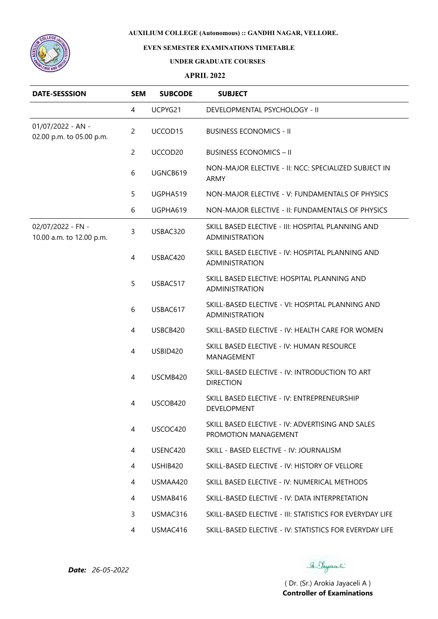

# **EVEN SEMESTER EXAMINATIONS TIMETABLE**

### **UNDER GRADUATE COURSES**

### **APRIL 2022**

| <b>DATE-SESSSION</b>                          | <b>SEM</b>     | <b>SUBCODE</b> | <b>SUBJECT</b>                                                           |
|-----------------------------------------------|----------------|----------------|--------------------------------------------------------------------------|
|                                               | 4              | UCPYG21        | DEVELOPMENTAL PSYCHOLOGY - II                                            |
| 01/07/2022 - AN -<br>02.00 p.m. to 05.00 p.m. | $\overline{c}$ | UCCOD15        | <b>BUSINESS ECONOMICS - II</b>                                           |
|                                               | $\overline{2}$ | UCCOD20        | <b>BUSINESS ECONOMICS - II</b>                                           |
|                                               | 6              | UGNCB619       | NON-MAJOR ELECTIVE - II: NCC: SPECIALIZED SUBJECT IN<br>ARMY             |
|                                               | 5              | UGPHA519       | NON-MAJOR ELECTIVE - V: FUNDAMENTALS OF PHYSICS                          |
|                                               | 6              | UGPHA619       | NON-MAJOR ELECTIVE - II: FUNDAMENTALS OF PHYSICS                         |
| 02/07/2022 - FN -<br>10.00 a.m. to 12.00 p.m. | 3              | USBAC320       | SKILL BASED ELECTIVE - III: HOSPITAL PLANNING AND<br>ADMINISTRATION      |
|                                               | $\overline{4}$ | USBAC420       | SKILL BASED ELECTIVE - IV: HOSPITAL PLANNING AND<br>ADMINISTRATION       |
|                                               | 5              | USBAC517       | SKILL BASED ELECTIVE: HOSPITAL PLANNING AND<br><b>ADMINISTRATION</b>     |
|                                               | 6              | USBAC617       | SKILL-BASED ELECTIVE - VI: HOSPITAL PLANNING AND<br>ADMINISTRATION       |
|                                               | 4              | USBCB420       | SKILL-BASED ELECTIVE - IV: HEALTH CARE FOR WOMEN                         |
|                                               | $\overline{4}$ | USBID420       | SKILL BASED ELECTIVE - IV: HUMAN RESOURCE<br>MANAGEMENT                  |
|                                               | $\overline{4}$ | USCMB420       | SKILL-BASED ELECTIVE - IV: INTRODUCTION TO ART<br><b>DIRECTION</b>       |
|                                               | 4              | USCOB420       | SKILL BASED ELECTIVE - IV: ENTREPRENEURSHIP<br>DEVELOPMENT               |
|                                               | 4              | USCOC420       | SKILL BASED ELECTIVE - IV: ADVERTISING AND SALES<br>PROMOTION MANAGEMENT |
|                                               | 4              | USENC420       | SKILL - BASED ELECTIVE - IV: JOURNALISM                                  |
|                                               | 4              | USHIB420       | SKILL-BASED ELECTIVE - IV: HISTORY OF VELLORE                            |
|                                               | 4              | USMAA420       | SKILL BASED ELECTIVE - IV: NUMERICAL METHODS                             |
|                                               | 4              | USMAB416       | SKILL-BASED ELECTIVE - IV: DATA INTERPRETATION                           |
|                                               | 3              | USMAC316       | SKILL-BASED ELECTIVE - III: STATISTICS FOR EVERYDAY LIFE                 |
|                                               | 4              | USMAC416       | SKILL-BASED ELECTIVE - IV: STATISTICS FOR EVERYDAY LIFE                  |

Se Sayaali